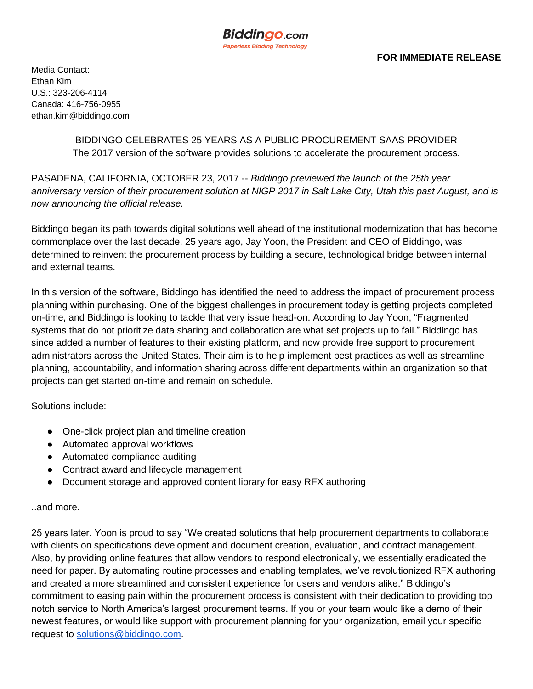

Media Contact: Ethan Kim U.S.: 323-206-4114 Canada: 416-756-0955 ethan.kim@biddingo.com

> BIDDINGO CELEBRATES 25 YEARS AS A PUBLIC PROCUREMENT SAAS PROVIDER The 2017 version of the software provides solutions to accelerate the procurement process.

PASADENA, CALIFORNIA, OCTOBER 23, 2017 -- *Biddingo previewed the launch of the 25th year anniversary version of their procurement solution at NIGP 2017 in Salt Lake City, Utah this past August, and is now announcing the official release.*

Biddingo began its path towards digital solutions well ahead of the institutional modernization that has become commonplace over the last decade. 25 years ago, Jay Yoon, the President and CEO of Biddingo, was determined to reinvent the procurement process by building a secure, technological bridge between internal and external teams.

In this version of the software, Biddingo has identified the need to address the impact of procurement process planning within purchasing. One of the biggest challenges in procurement today is getting projects completed on-time, and Biddingo is looking to tackle that very issue head-on. According to Jay Yoon, "Fragmented systems that do not prioritize data sharing and collaboration are what set projects up to fail." Biddingo has since added a number of features to their existing platform, and now provide free support to procurement administrators across the United States. Their aim is to help implement best practices as well as streamline planning, accountability, and information sharing across different departments within an organization so that projects can get started on-time and remain on schedule.

Solutions include:

- One-click project plan and timeline creation
- Automated approval workflows
- Automated compliance auditing
- Contract award and lifecycle management
- Document storage and approved content library for easy RFX authoring

## ..and more.

25 years later, Yoon is proud to say "We created solutions that help procurement departments to collaborate with clients on specifications development and document creation, evaluation, and contract management. Also, by providing online features that allow vendors to respond electronically, we essentially eradicated the need for paper. By automating routine processes and enabling templates, we've revolutionized RFX authoring and created a more streamlined and consistent experience for users and vendors alike." Biddingo's commitment to easing pain within the procurement process is consistent with their dedication to providing top notch service to North America's largest procurement teams. If you or your team would like a demo of their newest features, or would like support with procurement planning for your organization, email your specific request to [solutions@biddingo.com.](mailto:sales@biddingo.com)